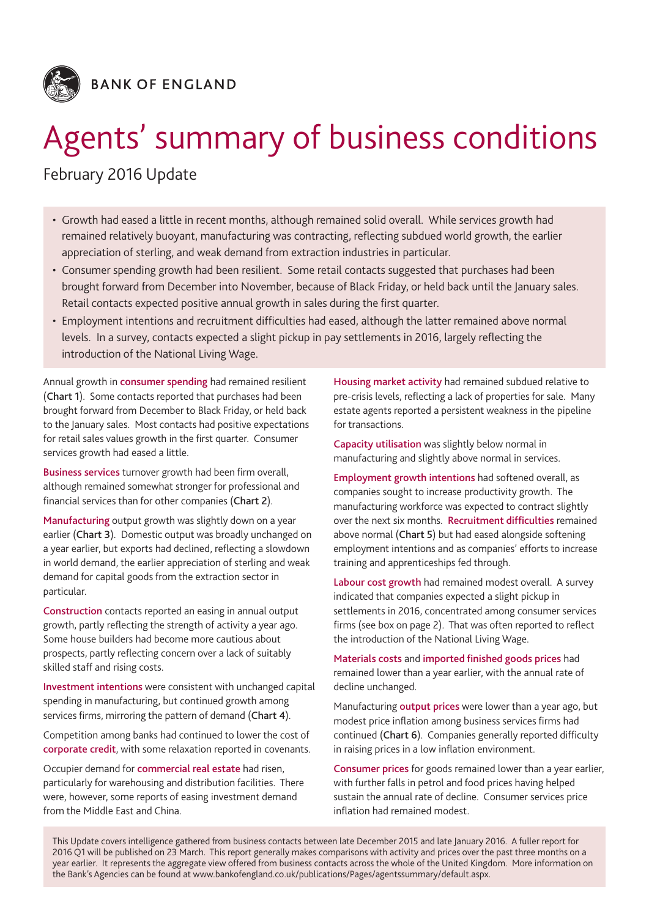

# Agents' summary of business conditions

# February 2016 Update

- Growth had eased a little in recent months, although remained solid overall. While services growth had remained relatively buoyant, manufacturing was contracting, reflecting subdued world growth, the earlier appreciation of sterling, and weak demand from extraction industries in particular.
- Consumer spending growth had been resilient. Some retail contacts suggested that purchases had been brought forward from December into November, because of Black Friday, or held back until the January sales. Retail contacts expected positive annual growth in sales during the first quarter.
- • Employment intentions and recruitment difficulties had eased, although the latter remained above normal levels. In a survey, contacts expected a slight pickup in pay settlements in 2016, largely reflecting the introduction of the National Living Wage.

Annual growth in consumer spending had remained resilient (Chart 1). Some contacts reported that purchases had been brought forward from December to Black Friday, or held back to the January sales. Most contacts had positive expectations for retail sales values growth in the first quarter. Consumer services growth had eased a little.

Business services turnover growth had been firm overall, although remained somewhat stronger for professional and financial services than for other companies (Chart 2).

Manufacturing output growth was slightly down on a year earlier (Chart 3). Domestic output was broadly unchanged on a year earlier, but exports had declined, reflecting a slowdown in world demand, the earlier appreciation of sterling and weak demand for capital goods from the extraction sector in particular.

Construction contacts reported an easing in annual output growth, partly reflecting the strength of activity a year ago. Some house builders had become more cautious about prospects, partly reflecting concern over a lack of suitably skilled staff and rising costs.

Investment intentions were consistent with unchanged capital spending in manufacturing, but continued growth among services firms, mirroring the pattern of demand (Chart 4).

Competition among banks had continued to lower the cost of corporate credit, with some relaxation reported in covenants.

Occupier demand for commercial real estate had risen, particularly for warehousing and distribution facilities. There were, however, some reports of easing investment demand from the Middle East and China.

Housing market activity had remained subdued relative to pre-crisis levels, reflecting a lack of properties for sale. Many estate agents reported a persistent weakness in the pipeline for transactions.

Capacity utilisation was slightly below normal in manufacturing and slightly above normal in services.

Employment growth intentions had softened overall, as companies sought to increase productivity growth. The manufacturing workforce was expected to contract slightly over the next six months. Recruitment difficulties remained above normal (Chart 5) but had eased alongside softening employment intentions and as companies' efforts to increase training and apprenticeships fed through.

Labour cost growth had remained modest overall. A survey indicated that companies expected a slight pickup in settlements in 2016, concentrated among consumer services firms (see box on page 2). That was often reported to reflect the introduction of the National Living Wage.

Materials costs and imported finished goods prices had remained lower than a year earlier, with the annual rate of decline unchanged.

Manufacturing output prices were lower than a year ago, but modest price inflation among business services firms had continued (Chart 6). Companies generally reported difficulty in raising prices in a low inflation environment.

Consumer prices for goods remained lower than a year earlier, with further falls in petrol and food prices having helped sustain the annual rate of decline. Consumer services price inflation had remained modest.

This Update covers intelligence gathered from business contacts between late December 2015 and late January 2016. A fuller report for 2016 Q1 will be published on 23 March. This report generally makes comparisons with activity and prices over the past three months on a year earlier. It represents the aggregate view offered from business contacts across the whole of the United Kingdom. More information on the Bank's Agencies can be found at www.bankofengland.co.uk/publications/Pages/agentssummary/default.aspx.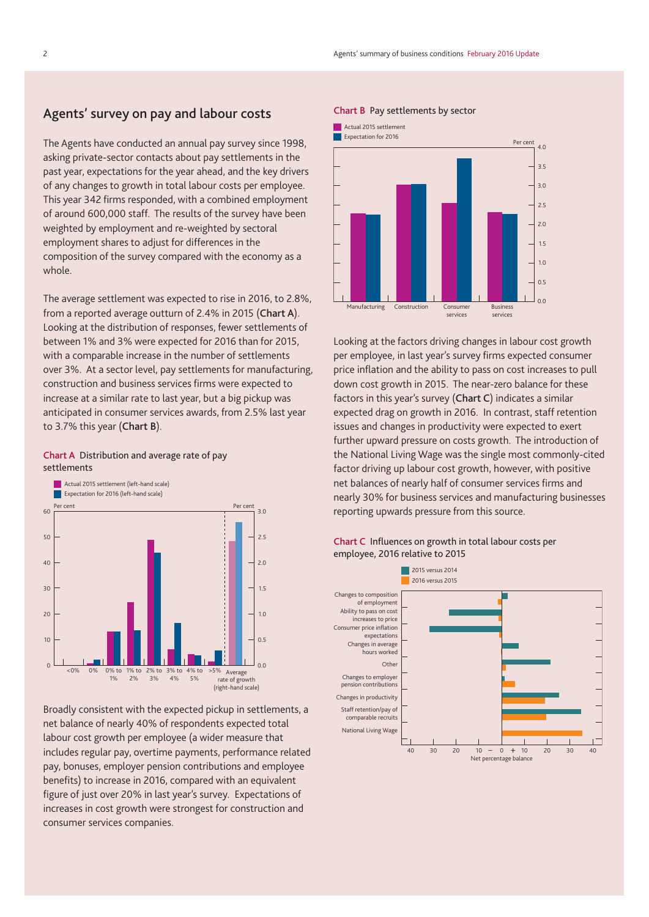# Agents' survey on pay and labour costs

The Agents have conducted an annual pay survey since 1998, asking private-sector contacts about pay settlements in the past year, expectations for the year ahead, and the key drivers of any changes to growth in total labour costs per employee. This year 342 firms responded, with a combined employment of around 600,000 staff. The results of the survey have been weighted by employment and re-weighted by sectoral employment shares to adjust for differences in the composition of the survey compared with the economy as a whole.

The average settlement was expected to rise in 2016, to 2.8%, from a reported average outturn of 2.4% in 2015 (Chart A). Looking at the distribution of responses, fewer settlements of between 1% and 3% were expected for 2016 than for 2015, with a comparable increase in the number of settlements over 3%. At a sector level, pay settlements for manufacturing, construction and business services firms were expected to increase at a similar rate to last year, but a big pickup was anticipated in consumer services awards, from 2.5% last year to 3.7% this year (Chart B).



Chart A Distribution and average rate of pay settlements

Broadly consistent with the expected pickup in settlements, a net balance of nearly 40% of respondents expected total labour cost growth per employee (a wider measure that includes regular pay, overtime payments, performance related pay, bonuses, employer pension contributions and employee benefits) to increase in 2016, compared with an equivalent figure of just over 20% in last year's survey. Expectations of increases in cost growth were strongest for construction and consumer services companies.

#### Chart B Pay settlements by sector



Looking at the factors driving changes in labour cost growth per employee, in last year's survey firms expected consumer price inflation and the ability to pass on cost increases to pull down cost growth in 2015. The near-zero balance for these factors in this year's survey (Chart C) indicates a similar expected drag on growth in 2016. In contrast, staff retention issues and changes in productivity were expected to exert further upward pressure on costs growth. The introduction of the National Living Wage was the single most commonly-cited factor driving up labour cost growth, however, with positive net balances of nearly half of consumer services firms and nearly 30% for business services and manufacturing businesses reporting upwards pressure from this source.



## Chart C Influences on growth in total labour costs per employee, 2016 relative to 2015